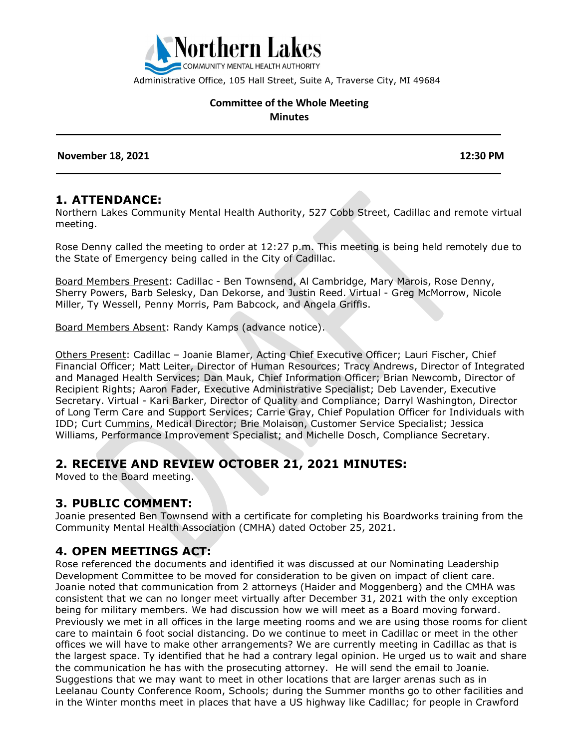

Administrative Office, 105 Hall Street, Suite A, Traverse City, MI 49684

#### **Committee of the Whole Meeting Minutes**

 **November 18, 2021 12:30 PM** 

#### **1. ATTENDANCE:**

Northern Lakes Community Mental Health Authority, 527 Cobb Street, Cadillac and remote virtual meeting.

Rose Denny called the meeting to order at 12:27 p.m. This meeting is being held remotely due to the State of Emergency being called in the City of Cadillac.

Board Members Present: Cadillac - Ben Townsend, Al Cambridge, Mary Marois, Rose Denny, Sherry Powers, Barb Selesky, Dan Dekorse, and Justin Reed. Virtual - Greg McMorrow, Nicole Miller, Ty Wessell, Penny Morris, Pam Babcock, and Angela Griffis.

Board Members Absent: Randy Kamps (advance notice).

Others Present: Cadillac – Joanie Blamer, Acting Chief Executive Officer; Lauri Fischer, Chief Financial Officer; Matt Leiter, Director of Human Resources; Tracy Andrews, Director of Integrated and Managed Health Services; Dan Mauk, Chief Information Officer; Brian Newcomb, Director of Recipient Rights; Aaron Fader, Executive Administrative Specialist; Deb Lavender, Executive Secretary. Virtual - Kari Barker, Director of Quality and Compliance; Darryl Washington, Director of Long Term Care and Support Services; Carrie Gray, Chief Population Officer for Individuals with IDD; Curt Cummins, Medical Director; Brie Molaison, Customer Service Specialist; Jessica Williams, Performance Improvement Specialist; and Michelle Dosch, Compliance Secretary.

### **2. RECEIVE AND REVIEW OCTOBER 21, 2021 MINUTES:**

Moved to the Board meeting.

#### **3. PUBLIC COMMENT:**

Joanie presented Ben Townsend with a certificate for completing his Boardworks training from the Community Mental Health Association (CMHA) dated October 25, 2021.

#### **4. OPEN MEETINGS ACT:**

Rose referenced the documents and identified it was discussed at our Nominating Leadership Development Committee to be moved for consideration to be given on impact of client care. Joanie noted that communication from 2 attorneys (Haider and Moggenberg) and the CMHA was consistent that we can no longer meet virtually after December 31, 2021 with the only exception being for military members. We had discussion how we will meet as a Board moving forward. Previously we met in all offices in the large meeting rooms and we are using those rooms for client care to maintain 6 foot social distancing. Do we continue to meet in Cadillac or meet in the other offices we will have to make other arrangements? We are currently meeting in Cadillac as that is the largest space. Ty identified that he had a contrary legal opinion. He urged us to wait and share the communication he has with the prosecuting attorney. He will send the email to Joanie. Suggestions that we may want to meet in other locations that are larger arenas such as in Leelanau County Conference Room, Schools; during the Summer months go to other facilities and in the Winter months meet in places that have a US highway like Cadillac; for people in Crawford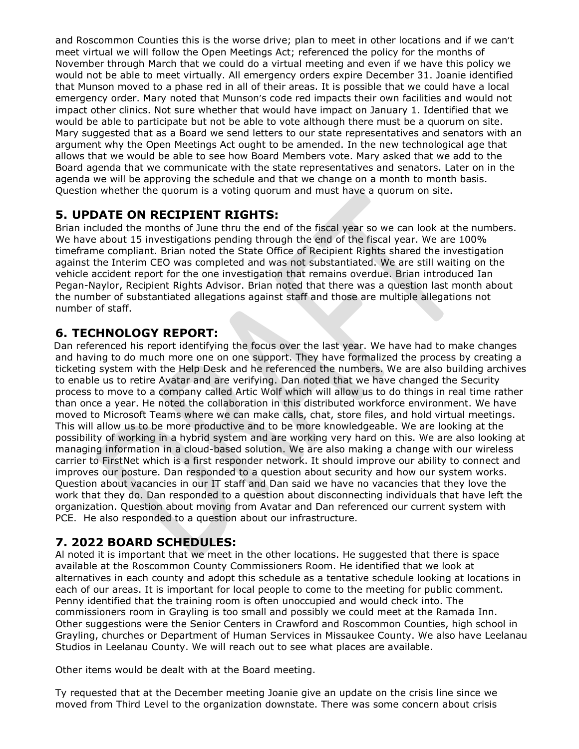and Roscommon Counties this is the worse drive; plan to meet in other locations and if we can't meet virtual we will follow the Open Meetings Act; referenced the policy for the months of November through March that we could do a virtual meeting and even if we have this policy we would not be able to meet virtually. All emergency orders expire December 31. Joanie identified that Munson moved to a phase red in all of their areas. It is possible that we could have a local emergency order. Mary noted that Munson's code red impacts their own facilities and would not impact other clinics. Not sure whether that would have impact on January 1. Identified that we would be able to participate but not be able to vote although there must be a quorum on site. Mary suggested that as a Board we send letters to our state representatives and senators with an argument why the Open Meetings Act ought to be amended. In the new technological age that allows that we would be able to see how Board Members vote. Mary asked that we add to the Board agenda that we communicate with the state representatives and senators. Later on in the agenda we will be approving the schedule and that we change on a month to month basis. Question whether the quorum is a voting quorum and must have a quorum on site.

# **5. UPDATE ON RECIPIENT RIGHTS:**

Brian included the months of June thru the end of the fiscal year so we can look at the numbers. We have about 15 investigations pending through the end of the fiscal year. We are 100% timeframe compliant. Brian noted the State Office of Recipient Rights shared the investigation against the Interim CEO was completed and was not substantiated. We are still waiting on the vehicle accident report for the one investigation that remains overdue. Brian introduced Ian Pegan-Naylor, Recipient Rights Advisor. Brian noted that there was a question last month about the number of substantiated allegations against staff and those are multiple allegations not number of staff.

# **6. TECHNOLOGY REPORT:**

Dan referenced his report identifying the focus over the last year. We have had to make changes and having to do much more one on one support. They have formalized the process by creating a ticketing system with the Help Desk and he referenced the numbers. We are also building archives to enable us to retire Avatar and are verifying. Dan noted that we have changed the Security process to move to a company called Artic Wolf which will allow us to do things in real time rather than once a year. He noted the collaboration in this distributed workforce environment. We have moved to Microsoft Teams where we can make calls, chat, store files, and hold virtual meetings. This will allow us to be more productive and to be more knowledgeable. We are looking at the possibility of working in a hybrid system and are working very hard on this. We are also looking at managing information in a cloud-based solution. We are also making a change with our wireless carrier to FirstNet which is a first responder network. It should improve our ability to connect and improves our posture. Dan responded to a question about security and how our system works. Question about vacancies in our IT staff and Dan said we have no vacancies that they love the work that they do. Dan responded to a question about disconnecting individuals that have left the organization. Question about moving from Avatar and Dan referenced our current system with PCE. He also responded to a question about our infrastructure.

# **7. 2022 BOARD SCHEDULES:**

Al noted it is important that we meet in the other locations. He suggested that there is space available at the Roscommon County Commissioners Room. He identified that we look at alternatives in each county and adopt this schedule as a tentative schedule looking at locations in each of our areas. It is important for local people to come to the meeting for public comment. Penny identified that the training room is often unoccupied and would check into. The commissioners room in Grayling is too small and possibly we could meet at the Ramada Inn. Other suggestions were the Senior Centers in Crawford and Roscommon Counties, high school in Grayling, churches or Department of Human Services in Missaukee County. We also have Leelanau Studios in Leelanau County. We will reach out to see what places are available.

Other items would be dealt with at the Board meeting.

Ty requested that at the December meeting Joanie give an update on the crisis line since we moved from Third Level to the organization downstate. There was some concern about crisis